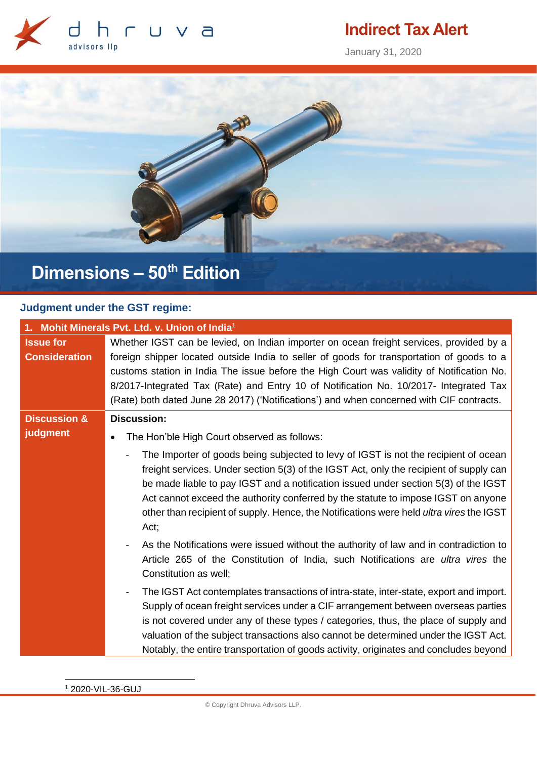

## **Indirect Tax Alert**

January 31, 2020



# **Dimensions – 50th Edition**

### **Judgment under the GST regime:**

| 1. Mohit Minerals Pvt. Ltd. v. Union of India <sup>1</sup> |                                                                                                                                                                                                                                                                                                                                                                                                                                                                        |  |
|------------------------------------------------------------|------------------------------------------------------------------------------------------------------------------------------------------------------------------------------------------------------------------------------------------------------------------------------------------------------------------------------------------------------------------------------------------------------------------------------------------------------------------------|--|
| <b>Issue for</b><br><b>Consideration</b>                   | Whether IGST can be levied, on Indian importer on ocean freight services, provided by a<br>foreign shipper located outside India to seller of goods for transportation of goods to a<br>customs station in India The issue before the High Court was validity of Notification No.<br>8/2017-Integrated Tax (Rate) and Entry 10 of Notification No. 10/2017- Integrated Tax<br>(Rate) both dated June 28 2017) ('Notifications') and when concerned with CIF contracts. |  |
| <b>Discussion &amp;</b>                                    | <b>Discussion:</b>                                                                                                                                                                                                                                                                                                                                                                                                                                                     |  |
| judgment                                                   | The Hon'ble High Court observed as follows:                                                                                                                                                                                                                                                                                                                                                                                                                            |  |
|                                                            | The Importer of goods being subjected to levy of IGST is not the recipient of ocean<br>freight services. Under section 5(3) of the IGST Act, only the recipient of supply can<br>be made liable to pay IGST and a notification issued under section 5(3) of the IGST<br>Act cannot exceed the authority conferred by the statute to impose IGST on anyone<br>other than recipient of supply. Hence, the Notifications were held ultra vires the IGST<br>Act;           |  |
|                                                            | As the Notifications were issued without the authority of law and in contradiction to<br>Article 265 of the Constitution of India, such Notifications are ultra vires the<br>Constitution as well;                                                                                                                                                                                                                                                                     |  |
|                                                            | The IGST Act contemplates transactions of intra-state, inter-state, export and import.<br>Supply of ocean freight services under a CIF arrangement between overseas parties<br>is not covered under any of these types / categories, thus, the place of supply and<br>valuation of the subject transactions also cannot be determined under the IGST Act.<br>Notably, the entire transportation of goods activity, originates and concludes beyond                     |  |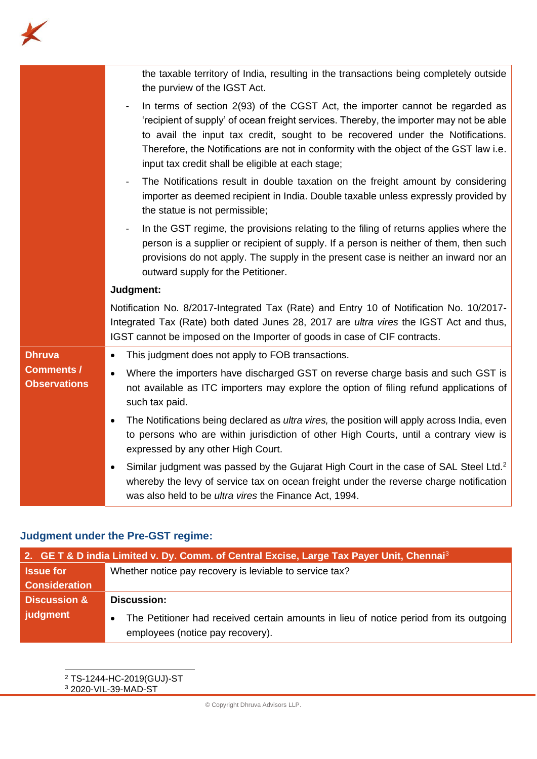

|                                          | the taxable territory of India, resulting in the transactions being completely outside<br>the purview of the IGST Act.                                                                                                                                                                                                                                                                                   |
|------------------------------------------|----------------------------------------------------------------------------------------------------------------------------------------------------------------------------------------------------------------------------------------------------------------------------------------------------------------------------------------------------------------------------------------------------------|
|                                          | In terms of section 2(93) of the CGST Act, the importer cannot be regarded as<br>'recipient of supply' of ocean freight services. Thereby, the importer may not be able<br>to avail the input tax credit, sought to be recovered under the Notifications.<br>Therefore, the Notifications are not in conformity with the object of the GST law i.e.<br>input tax credit shall be eligible at each stage; |
|                                          | The Notifications result in double taxation on the freight amount by considering<br>importer as deemed recipient in India. Double taxable unless expressly provided by<br>the statue is not permissible;                                                                                                                                                                                                 |
|                                          | In the GST regime, the provisions relating to the filing of returns applies where the<br>person is a supplier or recipient of supply. If a person is neither of them, then such<br>provisions do not apply. The supply in the present case is neither an inward nor an<br>outward supply for the Petitioner.                                                                                             |
|                                          | Judgment:                                                                                                                                                                                                                                                                                                                                                                                                |
|                                          | Notification No. 8/2017-Integrated Tax (Rate) and Entry 10 of Notification No. 10/2017-<br>Integrated Tax (Rate) both dated Junes 28, 2017 are ultra vires the IGST Act and thus,<br>IGST cannot be imposed on the Importer of goods in case of CIF contracts.                                                                                                                                           |
| <b>Dhruva</b>                            | This judgment does not apply to FOB transactions.<br>$\bullet$                                                                                                                                                                                                                                                                                                                                           |
| <b>Comments /</b><br><b>Observations</b> | Where the importers have discharged GST on reverse charge basis and such GST is<br>$\bullet$<br>not available as ITC importers may explore the option of filing refund applications of<br>such tax paid.                                                                                                                                                                                                 |
|                                          | The Notifications being declared as <i>ultra vires</i> , the position will apply across India, even<br>to persons who are within jurisdiction of other High Courts, until a contrary view is<br>expressed by any other High Court.                                                                                                                                                                       |
|                                          | Similar judgment was passed by the Gujarat High Court in the case of SAL Steel Ltd. <sup>2</sup><br>whereby the levy of service tax on ocean freight under the reverse charge notification<br>was also held to be <i>ultra vires</i> the Finance Act, 1994.                                                                                                                                              |

### **Judgment under the Pre-GST regime:**

| 2. GE T & D india Limited v. Dy. Comm. of Central Excise, Large Tax Payer Unit, Chennai <sup>3</sup> |                                                                                        |  |
|------------------------------------------------------------------------------------------------------|----------------------------------------------------------------------------------------|--|
| <b>Issue for</b>                                                                                     | Whether notice pay recovery is leviable to service tax?                                |  |
| <b>Consideration</b>                                                                                 |                                                                                        |  |
| <b>Discussion &amp;</b>                                                                              | <b>Discussion:</b>                                                                     |  |
| judgment                                                                                             | The Petitioner had received certain amounts in lieu of notice period from its outgoing |  |
|                                                                                                      | employees (notice pay recovery).                                                       |  |

<sup>2</sup> TS-1244-HC-2019(GUJ)-ST <sup>3</sup> 2020-VIL-39-MAD-ST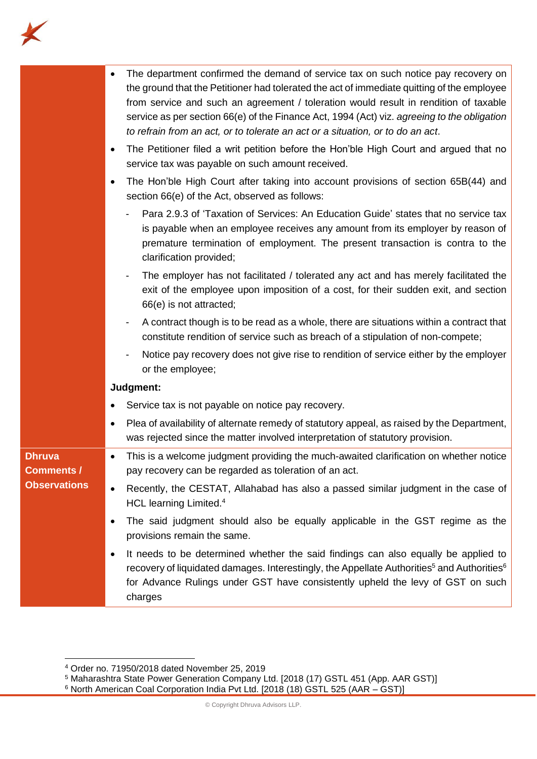

|                             | The department confirmed the demand of service tax on such notice pay recovery on<br>the ground that the Petitioner had tolerated the act of immediate quitting of the employee<br>from service and such an agreement / toleration would result in rendition of taxable<br>service as per section 66(e) of the Finance Act, 1994 (Act) viz. agreeing to the obligation<br>to refrain from an act, or to tolerate an act or a situation, or to do an act.<br>The Petitioner filed a writ petition before the Hon'ble High Court and argued that no<br>٠ |
|-----------------------------|--------------------------------------------------------------------------------------------------------------------------------------------------------------------------------------------------------------------------------------------------------------------------------------------------------------------------------------------------------------------------------------------------------------------------------------------------------------------------------------------------------------------------------------------------------|
|                             | service tax was payable on such amount received.<br>The Hon'ble High Court after taking into account provisions of section 65B(44) and<br>٠<br>section 66(e) of the Act, observed as follows:                                                                                                                                                                                                                                                                                                                                                          |
|                             | Para 2.9.3 of 'Taxation of Services: An Education Guide' states that no service tax<br>is payable when an employee receives any amount from its employer by reason of<br>premature termination of employment. The present transaction is contra to the<br>clarification provided;                                                                                                                                                                                                                                                                      |
|                             | The employer has not facilitated / tolerated any act and has merely facilitated the<br>exit of the employee upon imposition of a cost, for their sudden exit, and section<br>66(e) is not attracted;                                                                                                                                                                                                                                                                                                                                                   |
|                             | A contract though is to be read as a whole, there are situations within a contract that<br>constitute rendition of service such as breach of a stipulation of non-compete;                                                                                                                                                                                                                                                                                                                                                                             |
|                             | Notice pay recovery does not give rise to rendition of service either by the employer<br>or the employee;                                                                                                                                                                                                                                                                                                                                                                                                                                              |
|                             | Judgment:                                                                                                                                                                                                                                                                                                                                                                                                                                                                                                                                              |
|                             | Service tax is not payable on notice pay recovery.<br>٠                                                                                                                                                                                                                                                                                                                                                                                                                                                                                                |
|                             | Plea of availability of alternate remedy of statutory appeal, as raised by the Department,<br>٠<br>was rejected since the matter involved interpretation of statutory provision.                                                                                                                                                                                                                                                                                                                                                                       |
| <b>Dhruva</b><br>Comments / | This is a welcome judgment providing the much-awaited clarification on whether notice<br>٠<br>pay recovery can be regarded as toleration of an act.                                                                                                                                                                                                                                                                                                                                                                                                    |
| <b>Observations</b>         | Recently, the CESTAT, Allahabad has also a passed similar judgment in the case of<br>HCL learning Limited. <sup>4</sup>                                                                                                                                                                                                                                                                                                                                                                                                                                |
|                             | The said judgment should also be equally applicable in the GST regime as the<br>٠<br>provisions remain the same.                                                                                                                                                                                                                                                                                                                                                                                                                                       |
|                             | It needs to be determined whether the said findings can also equally be applied to<br>٠<br>recovery of liquidated damages. Interestingly, the Appellate Authorities <sup>5</sup> and Authorities <sup>6</sup><br>for Advance Rulings under GST have consistently upheld the levy of GST on such<br>charges                                                                                                                                                                                                                                             |

<sup>4</sup> Order no. 71950/2018 dated November 25, 2019

<sup>&</sup>lt;sup>5</sup> Maharashtra State Power Generation Company Ltd. [2018 (17) GSTL 451 (App. AAR GST)]

 $^6$  North American Coal Corporation India Pvt Ltd. [2018 (18) GSTL 525 (AAR – GST)]